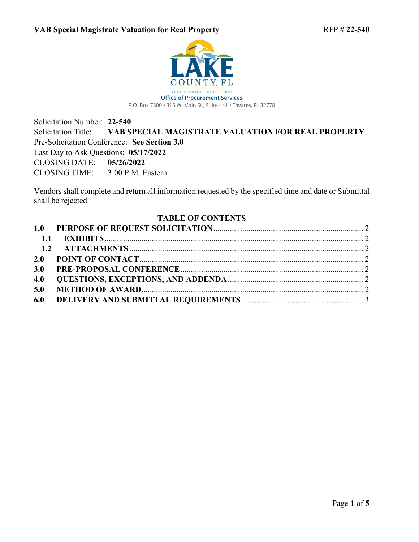

Solicitation Number: **22-540** Solicitation Title: **VAB SPECIAL MAGISTRATE VALUATION FOR REAL PROPERTY** Pre-Solicitation Conference: **See Section 3.0**  Last Day to Ask Questions: **05/17/2022** CLOSING DATE: **05/26/2022** CLOSING TIME: 3:00 P.M. Eastern

Vendors shall complete and return all information requested by the specified time and date or Submittal shall be rejected.

### <span id="page-0-0"></span>**TABLE OF CONTENTS**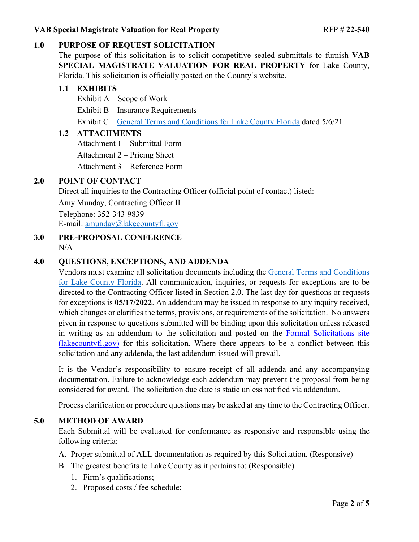### **VAB Special Magistrate Valuation for Real Property RFP # 22-540**

# <span id="page-1-0"></span>**1.0 PURPOSE OF REQUEST SOLICITATION**

The purpose of this solicitation is to solicit competitive sealed submittals to furnish **VAB SPECIAL MAGISTRATE VALUATION FOR REAL PROPERTY** for Lake County, Florida. This solicitation is officially posted on the County's website.

### <span id="page-1-1"></span>**1.1 EXHIBITS**

Exhibit  $A -$  Scope of Work Exhibit B – Insurance Requirements Exhibit C – [General Terms and Conditions for Lake County Florida](https://lakeumbraco.azurewebsites.net/media/krwgfnt0/general-terms-and-conditions-v-5-6-21-ada.pdf) dated 5/6/21.

### <span id="page-1-2"></span>**1.2 ATTACHMENTS**

Attachment 1 – Submittal Form

Attachment 2 – Pricing Sheet

Attachment 3 – Reference Form

## <span id="page-1-3"></span>**2.0 POINT OF CONTACT**

Direct all inquiries to the Contracting Officer (official point of contact) listed:

Amy Munday, Contracting Officer II

Telephone: 352-343-9839 E-mail: [amunday@lakecountyfl.gov](mailto:amunday@lakecountyfl.gov)

<span id="page-1-4"></span>**3.0 PRE-PROPOSAL CONFERENCE**  $N/A$ 

## <span id="page-1-5"></span>**4.0 QUESTIONS, EXCEPTIONS, AND ADDENDA**

Vendors must examine all solicitation documents including the [General Terms and Conditions](https://lakeumbraco.azurewebsites.net/media/krwgfnt0/general-terms-and-conditions-v-5-6-21-ada.pdf)  [for Lake County Florida.](https://lakeumbraco.azurewebsites.net/media/krwgfnt0/general-terms-and-conditions-v-5-6-21-ada.pdf) All communication, inquiries, or requests for exceptions are to be directed to the Contracting Officer listed in Sectio[n 2.0.](#page-1-3) The last day for questions or requests for exceptions is **05/17[/2022](#page-0-0)**. An addendum may be issued in response to any inquiry received, which changes or clarifies the terms, provisions, or requirements of the solicitation. No answers given in response to questions submitted will be binding upon this solicitation unless released in writing as an addendum to the solicitation and posted on the [Formal Solicitations site](https://c.lakecountyfl.gov/offices/procurement_services/view_all_bids.aspx?mylakefl=True)  [\(lakecountyfl.gov\)](https://c.lakecountyfl.gov/offices/procurement_services/view_all_bids.aspx?mylakefl=True) for this solicitation. Where there appears to be a conflict between this solicitation and any addenda, the last addendum issued will prevail.

It is the Vendor's responsibility to ensure receipt of all addenda and any accompanying documentation. Failure to acknowledge each addendum may prevent the proposal from being considered for award. The solicitation due date is static unless notified via addendum.

Process clarification or procedure questions may be asked at any time to the Contracting Officer.

### <span id="page-1-6"></span>**5.0 METHOD OF AWARD**

Each Submittal will be evaluated for conformance as responsive and responsible using the following criteria:

- A. Proper submittal of ALL documentation as required by this Solicitation. (Responsive)
- B. The greatest benefits to Lake County as it pertains to: (Responsible)
	- 1. Firm's qualifications;
	- 2. Proposed costs / fee schedule;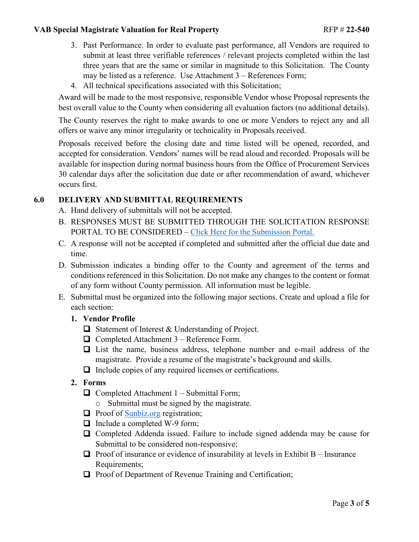#### **VAB Special Magistrate Valuation for Real Property RFP # 22-540**

- 3. Past Performance. In order to evaluate past performance, all Vendors are required to submit at least three verifiable references / relevant projects completed within the last three years that are the same or similar in magnitude to this Solicitation. The County may be listed as a reference. Use Attachment 3 – References Form;
- 4. All technical specifications associated with this Solicitation;

Award will be made to the most responsive, responsible Vendor whose Proposal represents the best overall value to the County when considering all evaluation factors (no additional details).

The County reserves the right to make awards to one or more Vendors to reject any and all offers or waive any minor irregularity or technicality in Proposals received.

Proposals received before the closing date and time listed will be opened, recorded, and accepted for consideration. Vendors' names will be read aloud and recorded. Proposals will be available for inspection during normal business hours from the Office of Procurement Services 30 calendar days after the solicitation due date or after recommendation of award, whichever occurs first.

# <span id="page-2-0"></span>**6.0 DELIVERY AND SUBMITTAL REQUIREMENTS**

- A. Hand delivery of submittals will not be accepted.
- B. RESPONSES MUST BE SUBMITTED THROUGH THE SOLICITATION RESPONSE PORTAL TO BE CONSIDERED – [Click Here for the Submission Portal.](https://procurement.lakecountyfl.gov/login)
- C. A response will not be accepted if completed and submitted after the official due date and time.
- D. Submission indicates a binding offer to the County and agreement of the terms and conditions referenced in this Solicitation. Do not make any changes to the content or format of any form without County permission. All information must be legible.
- E. Submittal must be organized into the following major sections. Create and upload a file for each section:
	- **1. Vendor Profile**
		- □ Statement of Interest & Understanding of Project.
		- $\Box$  Completed Attachment 3 Reference Form.
		- List the name, business address, telephone number and e-mail address of the magistrate. Provide a resume of the magistrate's background and skills.
		- $\Box$  Include copies of any required licenses or certifications.
	- **2. Forms**
		- $\Box$  Completed Attachment 1 Submittal Form;
			- o Submittal must be signed by the magistrate.
		- $\Box$  Proof of [Sunbiz.org](https://dos.myflorida.com/sunbiz/) registration;
		- $\Box$  Include a completed W-9 form;
		- Completed Addenda issued. Failure to include signed addenda may be cause for Submittal to be considered non-responsive;
		- **Proof of insurance or evidence of insurability at levels in Exhibit B** Insurance Requirements;
		- $\Box$  Proof of Department of Revenue Training and Certification;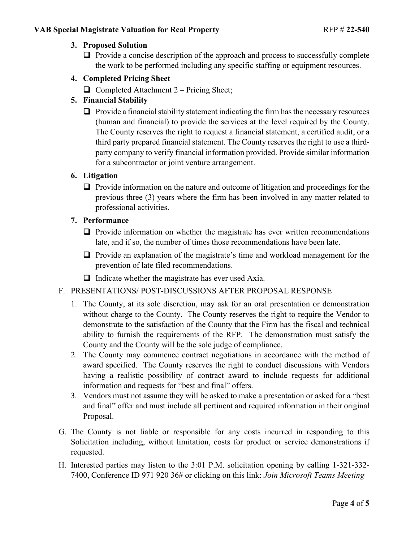## **3. Proposed Solution**

- $\Box$  Provide a concise description of the approach and process to successfully complete the work to be performed including any specific staffing or equipment resources.
- **4. Completed Pricing Sheet**
	- $\Box$  Completed Attachment 2 Pricing Sheet;

## **5. Financial Stability**

 $\Box$  Provide a financial stability statement indicating the firm has the necessary resources (human and financial) to provide the services at the level required by the County. The County reserves the right to request a financial statement, a certified audit, or a third party prepared financial statement. The County reserves the right to use a thirdparty company to verify financial information provided. Provide similar information for a subcontractor or joint venture arrangement.

### **6. Litigation**

 $\Box$  Provide information on the nature and outcome of litigation and proceedings for the previous three (3) years where the firm has been involved in any matter related to professional activities.

#### **7. Performance**

- $\Box$  Provide information on whether the magistrate has ever written recommendations late, and if so, the number of times those recommendations have been late.
- Provide an explanation of the magistrate's time and workload management for the prevention of late filed recommendations.
- $\Box$  Indicate whether the magistrate has ever used Axia.

#### F. PRESENTATIONS/ POST-DISCUSSIONS AFTER PROPOSAL RESPONSE

- 1. The County, at its sole discretion, may ask for an oral presentation or demonstration without charge to the County. The County reserves the right to require the Vendor to demonstrate to the satisfaction of the County that the Firm has the fiscal and technical ability to furnish the requirements of the RFP. The demonstration must satisfy the County and the County will be the sole judge of compliance.
- 2. The County may commence contract negotiations in accordance with the method of award specified. The County reserves the right to conduct discussions with Vendors having a realistic possibility of contract award to include requests for additional information and requests for "best and final" offers.
- 3. Vendors must not assume they will be asked to make a presentation or asked for a "best and final" offer and must include all pertinent and required information in their original Proposal.
- G. The County is not liable or responsible for any costs incurred in responding to this Solicitation including, without limitation, costs for product or service demonstrations if requested.
- H. Interested parties may listen to the 3:01 P.M. solicitation opening by calling 1-321-332- 7400, Conference ID 971 920 36# or clicking on this link: *[Join Microsoft Teams Meeting](https://teams.microsoft.com/l/meetup-join/19%3ameeting_NTc2MGM4YWYtYjcxYy00NjIxLTg3MjEtMzQzYTNiN2QyODQ1%40thread.v2/0?context=%7b%22Tid%22%3a%228499232e-a71a-45ed-aeca-64041089512e%22%2c%22Oid%22%3a%222b878da3-a65c-47a7-9def-0cf7f970014f%22%7d)*